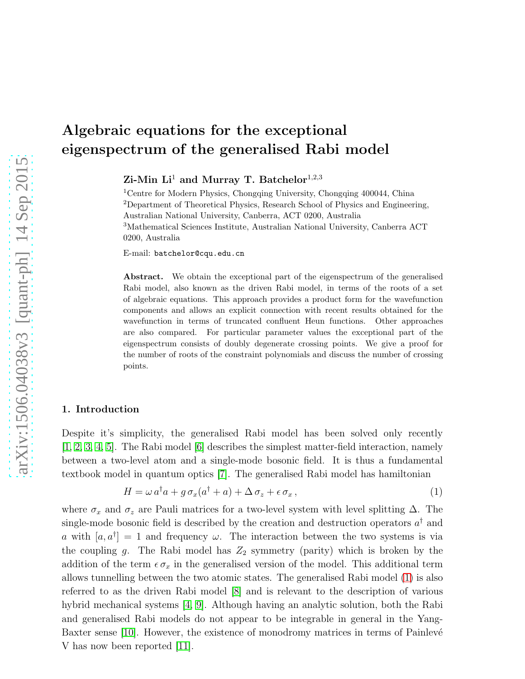Zi-Min  $Li<sup>1</sup>$  and Murray T. Batchelor<sup>1,2,3</sup>

<sup>1</sup>Centre for Modern Physics, Chongqing University, Chongqing 400044, China <sup>2</sup>Department of Theoretical Physics, Research School of Physics and Engineering, Australian National University, Canberra, ACT 0200, Australia <sup>3</sup>Mathematical Sciences Institute, Australian National University, Canberra ACT 0200, Australia

E-mail: batchelor@cqu.edu.cn

Abstract. We obtain the exceptional part of the eigenspectrum of the generalised Rabi model, also known as the driven Rabi model, in terms of the roots of a set of algebraic equations. This approach provides a product form for the wavefunction components and allows an explicit connection with recent results obtained for the wavefunction in terms of truncated confluent Heun functions. Other approaches are also compared. For particular parameter values the exceptional part of the eigenspectrum consists of doubly degenerate crossing points. We give a proof for the number of roots of the constraint polynomials and discuss the number of crossing points.

## 1. Introduction

Despite it's simplicity, the generalised Rabi model has been solved only recently [\[1,](#page-12-0) [2,](#page-12-1) [3,](#page-12-2) [4,](#page-12-3) [5\]](#page-12-4). The Rabi model [\[6\]](#page-12-5) describes the simplest matter-field interaction, namely between a two-level atom and a single-mode bosonic field. It is thus a fundamental textbook model in quantum optics [\[7\]](#page-12-6). The generalised Rabi model has hamiltonian

<span id="page-0-0"></span>
$$
H = \omega a^{\dagger} a + g \sigma_x (a^{\dagger} + a) + \Delta \sigma_z + \epsilon \sigma_x , \qquad (1)
$$

where  $\sigma_x$  and  $\sigma_z$  are Pauli matrices for a two-level system with level splitting  $\Delta$ . The single-mode bosonic field is described by the creation and destruction operators  $a^{\dagger}$  and a with  $[a, a^{\dagger}] = 1$  and frequency  $\omega$ . The interaction between the two systems is via the coupling g. The Rabi model has  $Z_2$  symmetry (parity) which is broken by the addition of the term  $\epsilon \sigma_x$  in the generalised version of the model. This additional term allows tunnelling between the two atomic states. The generalised Rabi model [\(1\)](#page-0-0) is also referred to as the driven Rabi model [\[8\]](#page-12-7) and is relevant to the description of various hybrid mechanical systems [\[4,](#page-12-3) [9\]](#page-12-8). Although having an analytic solution, both the Rabi and generalised Rabi models do not appear to be integrable in general in the Yang-Baxter sense [\[10\]](#page-12-9). However, the existence of monodromy matrices in terms of Painlevé V has now been reported [\[11\]](#page-12-10).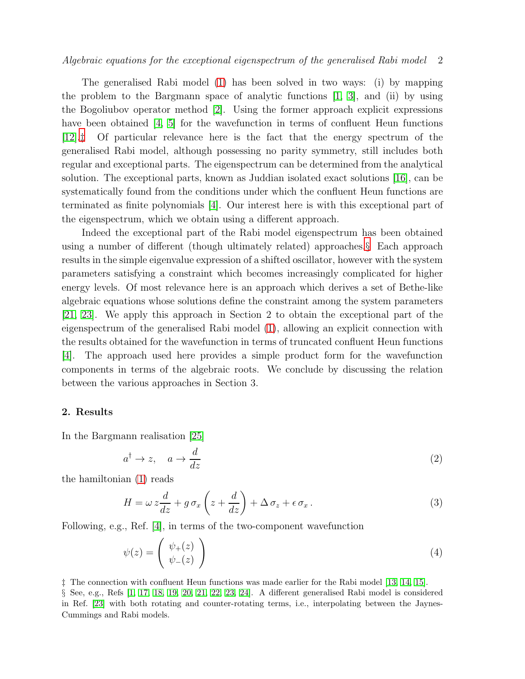The generalised Rabi model [\(1\)](#page-0-0) has been solved in two ways: (i) by mapping the problem to the Bargmann space of analytic functions  $[1, 3]$  $[1, 3]$ , and  $(ii)$  by using the Bogoliubov operator method [\[2\]](#page-12-1). Using the former approach explicit expressions have been obtained [\[4,](#page-12-3) [5\]](#page-12-4) for the wavefunction in terms of confluent Heun functions [\[12\]](#page-12-11).[‡](#page-1-0) Of particular relevance here is the fact that the energy spectrum of the generalised Rabi model, although possessing no parity symmetry, still includes both regular and exceptional parts. The eigenspectrum can be determined from the analytical solution. The exceptional parts, known as Juddian isolated exact solutions [\[16\]](#page-12-12), can be systematically found from the conditions under which the confluent Heun functions are terminated as finite polynomials [\[4\]](#page-12-3). Our interest here is with this exceptional part of the eigenspectrum, which we obtain using a different approach.

Indeed the exceptional part of the Rabi model eigenspectrum has been obtained using a number of different (though ultimately related) approaches.[§](#page-1-1) Each approach results in the simple eigenvalue expression of a shifted oscillator, however with the system parameters satisfying a constraint which becomes increasingly complicated for higher energy levels. Of most relevance here is an approach which derives a set of Bethe-like algebraic equations whose solutions define the constraint among the system parameters [\[21,](#page-12-13) [23\]](#page-13-0). We apply this approach in Section 2 to obtain the exceptional part of the eigenspectrum of the generalised Rabi model [\(1\)](#page-0-0), allowing an explicit connection with the results obtained for the wavefunction in terms of truncated confluent Heun functions [\[4\]](#page-12-3). The approach used here provides a simple product form for the wavefunction components in terms of the algebraic roots. We conclude by discussing the relation between the various approaches in Section 3.

## 2. Results

In the Bargmann realisation [\[25\]](#page-13-1)

$$
a^{\dagger} \to z, \quad a \to \frac{d}{dz} \tag{2}
$$

the hamiltonian [\(1\)](#page-0-0) reads

$$
H = \omega z \frac{d}{dz} + g \sigma_x \left( z + \frac{d}{dz} \right) + \Delta \sigma_z + \epsilon \sigma_x.
$$
 (3)

Following, e.g., Ref. [\[4\]](#page-12-3), in terms of the two-component wavefunction

$$
\psi(z) = \begin{pmatrix} \psi_+(z) \\ \psi_-(z) \end{pmatrix} \tag{4}
$$

<span id="page-1-1"></span><span id="page-1-0"></span>‡ The connection with confluent Heun functions was made earlier for the Rabi model [\[13,](#page-12-14) [14,](#page-12-15) [15\]](#page-12-16). § See, e.g., Refs [\[1,](#page-12-0) [17,](#page-12-17) [18,](#page-12-18) [19,](#page-12-19) [20,](#page-12-20) [21,](#page-12-13) [22,](#page-12-21) [23,](#page-13-0) [24\]](#page-13-2). A different generalised Rabi model is considered in Ref. [\[23\]](#page-13-0) with both rotating and counter-rotating terms, i.e., interpolating between the Jaynes-Cummings and Rabi models.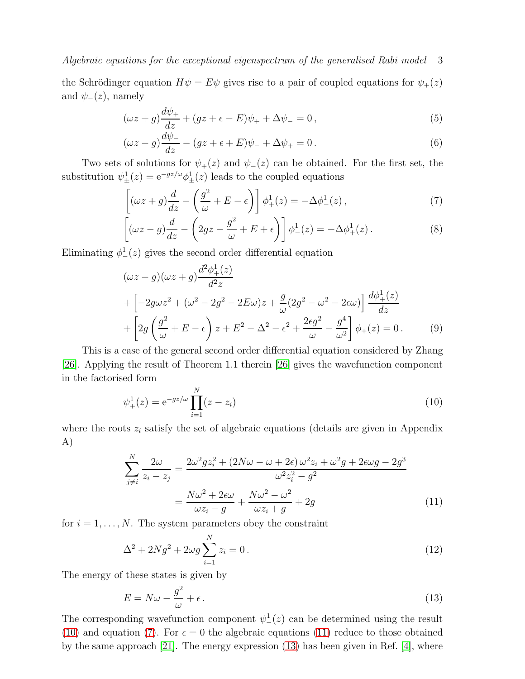the Schrödinger equation  $H\psi = E\psi$  gives rise to a pair of coupled equations for  $\psi_+(z)$ and  $\psi_-(z)$ , namely

$$
(\omega z + g)\frac{d\psi_+}{dz} + (gz + \epsilon - E)\psi_+ + \Delta\psi_- = 0, \qquad (5)
$$

$$
(\omega z - g)\frac{d\psi_{-}}{dz} - (gz + \epsilon + E)\psi_{-} + \Delta\psi_{+} = 0.
$$
\n(6)

Two sets of solutions for  $\psi_+(z)$  and  $\psi_-(z)$  can be obtained. For the first set, the substitution  $\psi_{\pm}^1(z) = e^{-gz/\omega} \phi_{\pm}^1(z)$  leads to the coupled equations

<span id="page-2-1"></span>
$$
\left[ (\omega z + g) \frac{d}{dz} - \left( \frac{g^2}{\omega} + E - \epsilon \right) \right] \phi_+^1(z) = -\Delta \phi_-^1(z) , \qquad (7)
$$

$$
\left[ (\omega z - g) \frac{d}{dz} - \left( 2gz - \frac{g^2}{\omega} + E + \epsilon \right) \right] \phi_-^1(z) = -\Delta \phi_+^1(z) \,. \tag{8}
$$

Eliminating  $\phi^1_-(z)$  gives the second order differential equation

<span id="page-2-5"></span>
$$
(\omega z - g)(\omega z + g)\frac{d^2\phi_+^1(z)}{dz}
$$
  
+ 
$$
\left[-2g\omega z^2 + (\omega^2 - 2g^2 - 2E\omega)z + \frac{g}{\omega}(2g^2 - \omega^2 - 2\epsilon\omega)\right]\frac{d\phi_+^1(z)}{dz}
$$
  
+ 
$$
\left[2g\left(\frac{g^2}{\omega} + E - \epsilon\right)z + E^2 - \Delta^2 - \epsilon^2 + \frac{2\epsilon g^2}{\omega} - \frac{g^4}{\omega^2}\right]\phi_+(z) = 0.
$$
 (9)

This is a case of the general second order differential equation considered by Zhang [\[26\]](#page-13-3). Applying the result of Theorem 1.1 therein [\[26\]](#page-13-3) gives the wavefunction component in the factorised form

<span id="page-2-0"></span>
$$
\psi_{+}^{1}(z) = e^{-gz/\omega} \prod_{i=1}^{N} (z - z_{i})
$$
\n(10)

where the roots  $z_i$  satisfy the set of algebraic equations (details are given in Appendix A)

<span id="page-2-2"></span>
$$
\sum_{j\neq i}^{N} \frac{2\omega}{z_i - z_j} = \frac{2\omega^2 gz_i^2 + (2N\omega - \omega + 2\epsilon)\,\omega^2 z_i + \omega^2 g + 2\epsilon\omega g - 2g^3}{\omega^2 z_i^2 - g^2}
$$

$$
= \frac{N\omega^2 + 2\epsilon\omega}{\omega z_i - g} + \frac{N\omega^2 - \omega^2}{\omega z_i + g} + 2g \tag{11}
$$

for  $i = 1, \ldots, N$ . The system parameters obey the constraint

<span id="page-2-4"></span>
$$
\Delta^2 + 2Ng^2 + 2\omega g \sum_{i=1}^{N} z_i = 0.
$$
\n(12)

The energy of these states is given by

<span id="page-2-3"></span>
$$
E = N\omega - \frac{g^2}{\omega} + \epsilon \,. \tag{13}
$$

The corresponding wavefunction component  $\psi^1_-(z)$  can be determined using the result [\(10\)](#page-2-0) and equation [\(7\)](#page-2-1). For  $\epsilon = 0$  the algebraic equations [\(11\)](#page-2-2) reduce to those obtained by the same approach [\[21\]](#page-12-13). The energy expression [\(13\)](#page-2-3) has been given in Ref. [\[4\]](#page-12-3), where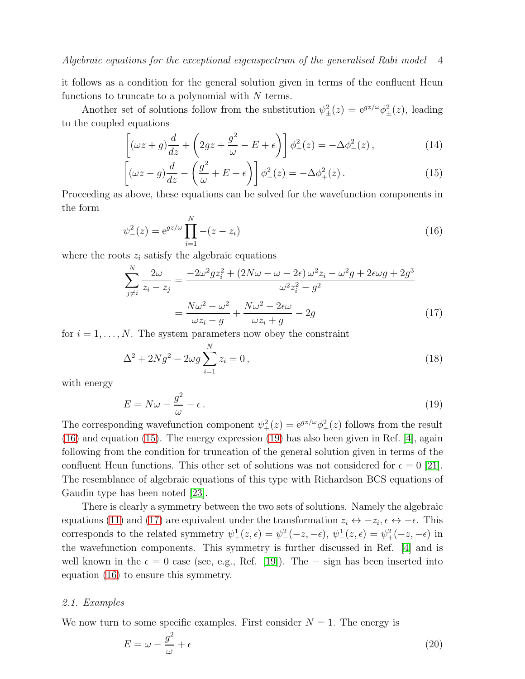it follows as a condition for the general solution given in terms of the confluent Heun functions to truncate to a polynomial with  $N$  terms.

Another set of solutions follow from the substitution  $\psi_{\pm}^2(z) = e^{gz/\omega} \phi_{\pm}^2(z)$ , leading to the coupled equations

<span id="page-3-1"></span>
$$
\left[ (\omega z + g) \frac{d}{dz} + \left( 2gz + \frac{g^2}{\omega} - E + \epsilon \right) \right] \phi_+^2(z) = -\Delta \phi_-^2(z), \tag{14}
$$

$$
\left[ (\omega z - g) \frac{d}{dz} - \left( \frac{g^2}{\omega} + E + \epsilon \right) \right] \phi^2_{-}(z) = -\Delta \phi^2_{+}(z). \tag{15}
$$

Proceeding as above, these equations can be solved for the wavefunction components in the form

<span id="page-3-0"></span>
$$
\psi_{-}^{2}(z) = e^{gz/\omega} \prod_{i=1}^{N} -(z - z_{i})
$$
\n(16)

where the roots  $z_i$  satisfy the algebraic equations

<span id="page-3-3"></span>
$$
\sum_{j\neq i}^{N} \frac{2\omega}{z_i - z_j} = \frac{-2\omega^2 gz_i^2 + (2N\omega - \omega - 2\epsilon)\omega^2 z_i - \omega^2 g + 2\epsilon\omega g + 2g^3}{\omega^2 z_i^2 - g^2}
$$

$$
= \frac{N\omega^2 - \omega^2}{\omega z_i - g} + \frac{N\omega^2 - 2\epsilon\omega}{\omega z_i + g} - 2g \tag{17}
$$

for  $i = 1, \ldots, N$ . The system parameters now obey the constraint

<span id="page-3-4"></span>
$$
\Delta^2 + 2Ng^2 - 2\omega g \sum_{i=1}^N z_i = 0, \qquad (18)
$$

with energy

<span id="page-3-2"></span>
$$
E = N\omega - \frac{g^2}{\omega} - \epsilon \,. \tag{19}
$$

The corresponding wavefunction component  $\psi_+^2(z) = e^{gz/\omega} \phi_+^2(z)$  follows from the result [\(16\)](#page-3-0) and equation [\(15\)](#page-3-1). The energy expression [\(19\)](#page-3-2) has also been given in Ref. [\[4\]](#page-12-3), again following from the condition for truncation of the general solution given in terms of the confluent Heun functions. This other set of solutions was not considered for  $\epsilon = 0$  [\[21\]](#page-12-13). The resemblance of algebraic equations of this type with Richardson BCS equations of Gaudin type has been noted [\[23\]](#page-13-0).

There is clearly a symmetry between the two sets of solutions. Namely the algebraic equations [\(11\)](#page-2-2) and [\(17\)](#page-3-3) are equivalent under the transformation  $z_i \leftrightarrow -z_i, \epsilon \leftrightarrow -\epsilon$ . This corresponds to the related symmetry  $\psi_+^1(z,\epsilon) = \psi_-^2(-z,-\epsilon)$ ,  $\psi_-^1(z,\epsilon) = \psi_+^2(-z,-\epsilon)$  in the wavefunction components. This symmetry is further discussed in Ref. [\[4\]](#page-12-3) and is well known in the  $\epsilon = 0$  case (see, e.g., Ref. [\[19\]](#page-12-19)). The – sign has been inserted into equation [\(16\)](#page-3-0) to ensure this symmetry.

#### 2.1. Examples

We now turn to some specific examples. First consider  $N = 1$ . The energy is

$$
E = \omega - \frac{g^2}{\omega} + \epsilon \tag{20}
$$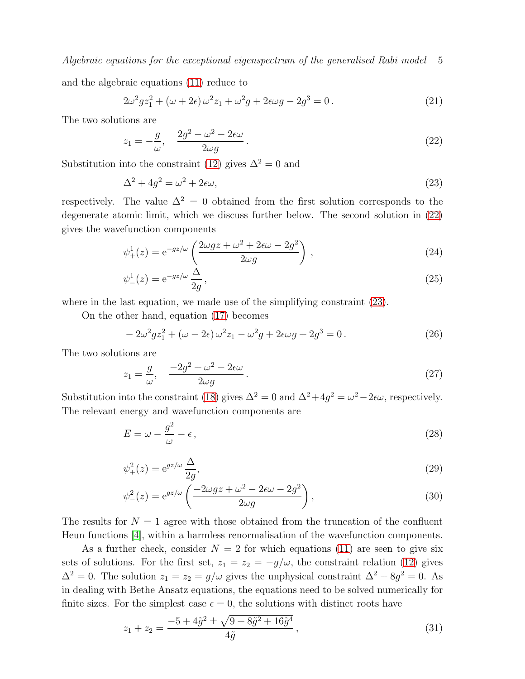and the algebraic equations [\(11\)](#page-2-2) reduce to

$$
2\omega^2 gz_1^2 + (\omega + 2\epsilon)\,\omega^2 z_1 + \omega^2 g + 2\epsilon \omega g - 2g^3 = 0\,. \tag{21}
$$

The two solutions are

<span id="page-4-0"></span>
$$
z_1 = -\frac{g}{\omega}, \quad \frac{2g^2 - \omega^2 - 2\epsilon\omega}{2\omega g}.
$$
\n
$$
(22)
$$

Substitution into the constraint [\(12\)](#page-2-4) gives  $\Delta^2 = 0$  and

<span id="page-4-1"></span>
$$
\Delta^2 + 4g^2 = \omega^2 + 2\epsilon\omega,\tag{23}
$$

respectively. The value  $\Delta^2 = 0$  obtained from the first solution corresponds to the degenerate atomic limit, which we discuss further below. The second solution in [\(22\)](#page-4-0) gives the wavefunction components

$$
\psi_{+}^{1}(z) = e^{-gz/\omega} \left( \frac{2\omega gz + \omega^{2} + 2\epsilon\omega - 2g^{2}}{2\omega g} \right), \qquad (24)
$$

$$
\psi_{-}^{1}(z) = e^{-gz/\omega} \frac{\Delta}{2g},\qquad(25)
$$

where in the last equation, we made use of the simplifying constraint  $(23)$ .

On the other hand, equation [\(17\)](#page-3-3) becomes

$$
-2\omega^2 gz_1^2 + (\omega - 2\epsilon)\,\omega^2 z_1 - \omega^2 g + 2\epsilon \omega g + 2g^3 = 0\,. \tag{26}
$$

The two solutions are

$$
z_1 = \frac{g}{\omega}, \quad \frac{-2g^2 + \omega^2 - 2\epsilon\omega}{2\omega g}.
$$
\n
$$
(27)
$$

Substitution into the constraint [\(18\)](#page-3-4) gives  $\Delta^2 = 0$  and  $\Delta^2 + 4g^2 = \omega^2 - 2\epsilon\omega$ , respectively. The relevant energy and wavefunction components are

$$
E = \omega - \frac{g^2}{\omega} - \epsilon, \tag{28}
$$

$$
\psi_+^2(z) = e^{gz/\omega} \frac{\Delta}{2g},\tag{29}
$$

$$
\psi_{-}^{2}(z) = e^{gz/\omega} \left( \frac{-2\omega gz + \omega^{2} - 2\epsilon \omega - 2g^{2}}{2\omega g} \right),
$$
\n(30)

The results for  $N = 1$  agree with those obtained from the truncation of the confluent Heun functions [\[4\]](#page-12-3), within a harmless renormalisation of the wavefunction components.

As a further check, consider  $N = 2$  for which equations [\(11\)](#page-2-2) are seen to give six sets of solutions. For the first set,  $z_1 = z_2 = -g/\omega$ , the constraint relation [\(12\)](#page-2-4) gives  $\Delta^2 = 0$ . The solution  $z_1 = z_2 = g/\omega$  gives the unphysical constraint  $\Delta^2 + 8g^2 = 0$ . As in dealing with Bethe Ansatz equations, the equations need to be solved numerically for finite sizes. For the simplest case  $\epsilon = 0$ , the solutions with distinct roots have

$$
z_1 + z_2 = \frac{-5 + 4\tilde{g}^2 \pm \sqrt{9 + 8\tilde{g}^2 + 16\tilde{g}^4}}{4\tilde{g}},
$$
\n(31)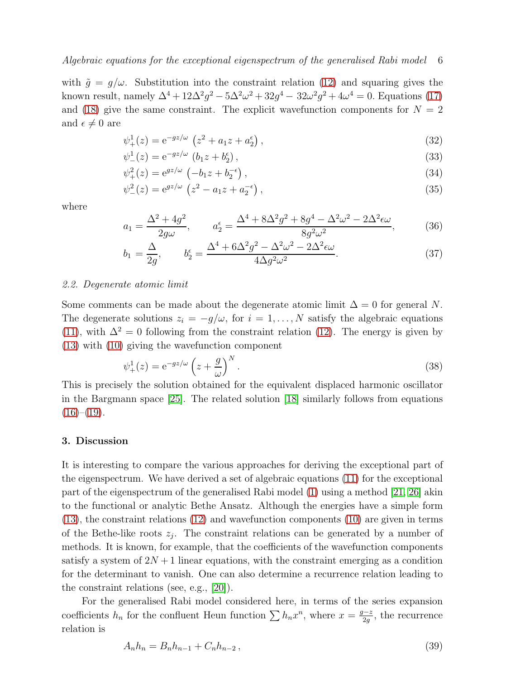with  $\tilde{g} = g/\omega$ . Substitution into the constraint relation [\(12\)](#page-2-4) and squaring gives the known result, namely  $\Delta^4 + 12\Delta^2 g^2 - 5\Delta^2 \omega^2 + 32g^4 - 32\omega^2 g^2 + 4\omega^4 = 0$ . Equations [\(17\)](#page-3-3) and [\(18\)](#page-3-4) give the same constraint. The explicit wavefunction components for  $N = 2$ and  $\epsilon \neq 0$  are

$$
\psi_{+}^{1}(z) = e^{-gz/\omega} \left( z^{2} + a_{1}z + a_{2}^{\epsilon} \right), \tag{32}
$$

$$
\psi_{-}^{1}(z) = e^{-gz/\omega} \left( b_{1} z + b_{2}^{e} \right), \tag{33}
$$

$$
\psi_{+}^{2}(z) = e^{gz/\omega} \left( -b_{1}z + b_{2}^{-\epsilon} \right), \tag{34}
$$

$$
\psi_{-}^{2}(z) = e^{gz/\omega} \left( z^{2} - a_{1}z + a_{2}^{-\epsilon} \right), \tag{35}
$$

where

$$
a_1 = \frac{\Delta^2 + 4g^2}{2g\omega}, \qquad a_2^{\epsilon} = \frac{\Delta^4 + 8\Delta^2 g^2 + 8g^4 - \Delta^2 \omega^2 - 2\Delta^2 \epsilon \omega}{8g^2 \omega^2},
$$
(36)

$$
b_1 = \frac{\Delta}{2g}, \qquad b_2^{\epsilon} = \frac{\Delta^4 + 6\Delta^2 g^2 - \Delta^2 \omega^2 - 2\Delta^2 \epsilon \omega}{4\Delta g^2 \omega^2}.
$$
 (37)

#### 2.2. Degenerate atomic limit

Some comments can be made about the degenerate atomic limit  $\Delta = 0$  for general N. The degenerate solutions  $z_i = -g/\omega$ , for  $i = 1, ..., N$  satisfy the algebraic equations [\(11\)](#page-2-2), with  $\Delta^2 = 0$  following from the constraint relation [\(12\)](#page-2-4). The energy is given by [\(13\)](#page-2-3) with [\(10\)](#page-2-0) giving the wavefunction component

$$
\psi_+^1(z) = e^{-gz/\omega} \left(z + \frac{g}{\omega}\right)^N.
$$
\n(38)

This is precisely the solution obtained for the equivalent displaced harmonic oscillator in the Bargmann space [\[25\]](#page-13-1). The related solution [\[18\]](#page-12-18) similarly follows from equations  $(16)-(19)$  $(16)-(19)$  $(16)-(19)$ .

#### 3. Discussion

It is interesting to compare the various approaches for deriving the exceptional part of the eigenspectrum. We have derived a set of algebraic equations [\(11\)](#page-2-2) for the exceptional part of the eigenspectrum of the generalised Rabi model [\(1\)](#page-0-0) using a method [\[21,](#page-12-13) [26\]](#page-13-3) akin to the functional or analytic Bethe Ansatz. Although the energies have a simple form [\(13\)](#page-2-3), the constraint relations [\(12\)](#page-2-4) and wavefunction components [\(10\)](#page-2-0) are given in terms of the Bethe-like roots  $z_j$ . The constraint relations can be generated by a number of methods. It is known, for example, that the coefficients of the wavefunction components satisfy a system of  $2N+1$  linear equations, with the constraint emerging as a condition for the determinant to vanish. One can also determine a recurrence relation leading to the constraint relations (see, e.g., [\[20\]](#page-12-20)).

For the generalised Rabi model considered here, in terms of the series expansion coefficients  $h_n$  for the confluent Heun function  $\sum h_n x^n$ , where  $x = \frac{g-z}{2a}$  $\frac{1-z}{2g}$ , the recurrence relation is

<span id="page-5-0"></span>
$$
A_n h_n = B_n h_{n-1} + C_n h_{n-2}, \qquad (39)
$$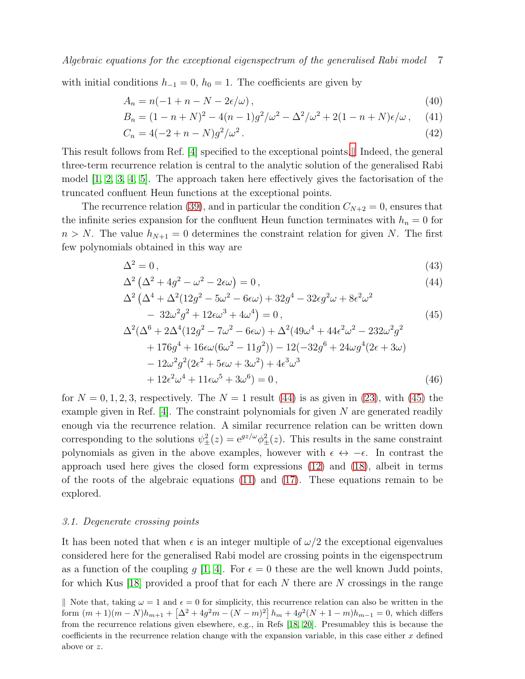with initial conditions  $h_{-1} = 0$ ,  $h_0 = 1$ . The coefficients are given by

$$
A_n = n(-1 + n - N - 2\epsilon/\omega),\tag{40}
$$

$$
B_n = (1 - n + N)^2 - 4(n - 1)g^2/\omega^2 - \Delta^2/\omega^2 + 2(1 - n + N)\epsilon/\omega, \quad (41)
$$

$$
C_n = 4(-2 + n - N)g^2/\omega^2.
$$
\n(42)

This result follows from Ref. [\[4\]](#page-12-3) specified to the exceptional points. I Indeed, the general three-term recurrence relation is central to the analytic solution of the generalised Rabi model  $[1, 2, 3, 4, 5]$  $[1, 2, 3, 4, 5]$  $[1, 2, 3, 4, 5]$  $[1, 2, 3, 4, 5]$  $[1, 2, 3, 4, 5]$ . The approach taken here effectively gives the factorisation of the truncated confluent Heun functions at the exceptional points.

The recurrence relation [\(39\)](#page-5-0), and in particular the condition  $C_{N+2} = 0$ , ensures that the infinite series expansion for the confluent Heun function terminates with  $h_n = 0$  for  $n > N$ . The value  $h_{N+1} = 0$  determines the constraint relation for given N. The first few polynomials obtained in this way are

<span id="page-6-1"></span>
$$
\Delta^2 = 0,\tag{43}
$$

$$
\Delta^2 \left( \Delta^2 + 4g^2 - \omega^2 - 2\epsilon \omega \right) = 0, \tag{44}
$$

$$
\Delta^{2} \left( \Delta^{4} + \Delta^{2} (12g^{2} - 5\omega^{2} - 6\epsilon\omega) + 32g^{4} - 32\epsilon g^{2} \omega + 8\epsilon^{2} \omega^{2} - 32\omega^{2} g^{2} + 12\epsilon\omega^{3} + 4\omega^{4} \right) = 0,
$$
\n(45)

$$
\Delta^{2}(\Delta^{6} + 2\Delta^{4}(12g^{2} - 7\omega^{2} - 6\epsilon\omega) + \Delta^{2}(49\omega^{4} + 44\epsilon^{2}\omega^{2} - 232\omega^{2}g^{2} \n+ 176g^{4} + 16\epsilon\omega(6\omega^{2} - 11g^{2})) - 12(-32g^{6} + 24\omega g^{4}(2\epsilon + 3\omega) \n- 12\omega^{2}g^{2}(2\epsilon^{2} + 5\epsilon\omega + 3\omega^{2}) + 4\epsilon^{3}\omega^{3} \n+ 12\epsilon^{2}\omega^{4} + 11\epsilon\omega^{5} + 3\omega^{6}) = 0,
$$
\n(46)

for  $N = 0, 1, 2, 3$ , respectively. The  $N = 1$  result [\(44\)](#page-6-1) is as given in [\(23\)](#page-4-1), with [\(45\)](#page-6-1) the example given in Ref.  $[4]$ . The constraint polynomials for given N are generated readily enough via the recurrence relation. A similar recurrence relation can be written down corresponding to the solutions  $\psi_{\pm}^2(z) = e^{gz/\omega} \phi_{\pm}^2(z)$ . This results in the same constraint polynomials as given in the above examples, however with  $\epsilon \leftrightarrow -\epsilon$ . In contrast the approach used here gives the closed form expressions [\(12\)](#page-2-4) and [\(18\)](#page-3-4), albeit in terms of the roots of the algebraic equations [\(11\)](#page-2-2) and [\(17\)](#page-3-3). These equations remain to be explored.

#### 3.1. Degenerate crossing points

It has been noted that when  $\epsilon$  is an integer multiple of  $\omega/2$  the exceptional eigenvalues considered here for the generalised Rabi model are crossing points in the eigenspectrum as a function of the coupling q [\[1,](#page-12-0) [4\]](#page-12-3). For  $\epsilon = 0$  these are the well known Judd points, for which Kus [\[18\]](#page-12-18) provided a proof that for each  $N$  there are  $N$  crossings in the range

<span id="page-6-0"></span>Note that, taking  $\omega = 1$  and  $\epsilon = 0$  for simplicity, this recurrence relation can also be written in the form  $(m+1)(m-N)h_{m+1} + \left[\Delta^2 + 4g^2m - (N-m)^2\right]h_m + 4g^2(N+1-m)h_{m-1} = 0$ , which differs from the recurrence relations given elsewhere, e.g., in Refs [\[18,](#page-12-18) [20\]](#page-12-20). Presumabley this is because the coefficients in the recurrence relation change with the expansion variable, in this case either  $x$  defined above or z.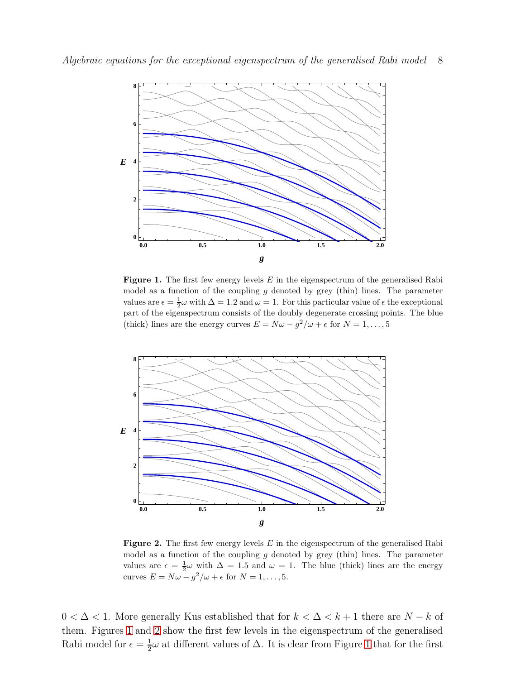

<span id="page-7-0"></span>**Figure 1.** The first few energy levels  $E$  in the eigenspectrum of the generalised Rabi model as a function of the coupling  $g$  denoted by grey (thin) lines. The parameter values are  $\epsilon = \frac{1}{2}\omega$  with  $\Delta = 1.2$  and  $\omega = 1$ . For this particular value of  $\epsilon$  the exceptional part of the eigenspectrum consists of the doubly degenerate crossing points. The blue (thick) lines are the energy curves  $E = N\omega - g^2/\omega + \epsilon$  for  $N = 1, ..., 5$ 



<span id="page-7-1"></span>Figure 2. The first few energy levels  $E$  in the eigenspectrum of the generalised Rabi model as a function of the coupling  $g$  denoted by grey (thin) lines. The parameter values are  $\epsilon = \frac{1}{2}\omega$  with  $\Delta = 1.5$  and  $\omega = 1$ . The blue (thick) lines are the energy curves  $E = N\omega - g^2/\omega + \epsilon$  for  $N = 1, ..., 5$ .

 $0 < \Delta < 1$ . More generally Kus established that for  $k < \Delta < k+1$  there are  $N - k$  of them. Figures [1](#page-7-0) and [2](#page-7-1) show the first few levels in the eigenspectrum of the generalised Rabi model for  $\epsilon = \frac{1}{2}$  $\frac{1}{2}\omega$  at different values of  $\Delta$ . It is clear from Figure [1](#page-7-0) that for the first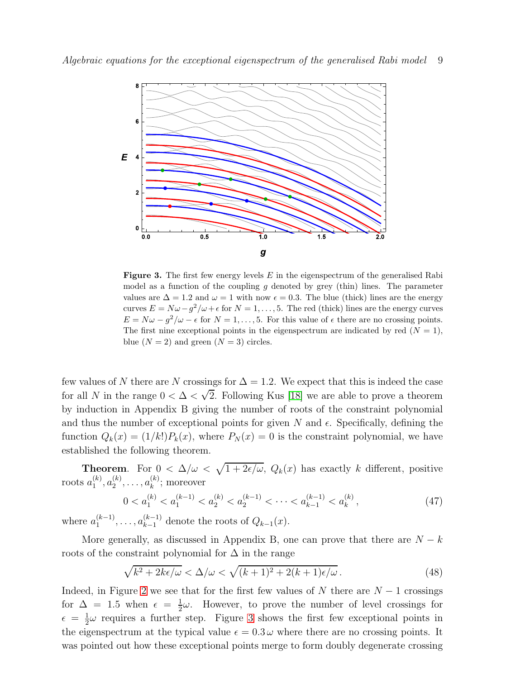

<span id="page-8-0"></span>**Figure 3.** The first few energy levels  $E$  in the eigenspectrum of the generalised Rabi model as a function of the coupling g denoted by grey (thin) lines. The parameter values are  $\Delta = 1.2$  and  $\omega = 1$  with now  $\epsilon = 0.3$ . The blue (thick) lines are the energy curves  $E = N\omega - g^2/\omega + \epsilon$  for  $N = 1, ..., 5$ . The red (thick) lines are the energy curves  $E = N\omega - g^2/\omega - \epsilon$  for  $N = 1, ..., 5$ . For this value of  $\epsilon$  there are no crossing points. The first nine exceptional points in the eigenspectrum are indicated by red  $(N = 1)$ , blue  $(N = 2)$  and green  $(N = 3)$  circles.

few values of N there are N crossings for  $\Delta = 1.2$ . We expect that this is indeed the case for all N in the range  $0 < \Delta < \sqrt{2}$ . Following Kus [\[18\]](#page-12-18) we are able to prove a theorem by induction in Appendix B giving the number of roots of the constraint polynomial and thus the number of exceptional points for given  $N$  and  $\epsilon$ . Specifically, defining the function  $Q_k(x) = (1/k!)P_k(x)$ , where  $P_N(x) = 0$  is the constraint polynomial, we have established the following theorem.

**Theorem.** For  $0 < \Delta/\omega < \sqrt{1+2\epsilon/\omega}$ ,  $Q_k(x)$  has exactly k different, positive roots  $a_1^{(k)}$  $\binom{k}{1}, a_2^{(k)}$  $a_2^{(k)}, \ldots, a_k^{(k)}$  $k^{(\kappa)}$ ; moreover

<span id="page-8-2"></span>
$$
0 < a_1^{(k)} < a_1^{(k-1)} < a_2^{(k)} < a_2^{(k-1)} < \dots < a_{k-1}^{(k-1)} < a_k^{(k)},\tag{47}
$$

where  $a_1^{(k-1)}$  $a_1^{(k-1)}, \ldots, a_{k-1}^{(k-1)}$  denote the roots of  $Q_{k-1}(x)$ .

More generally, as discussed in Appendix B, one can prove that there are  $N - k$ roots of the constraint polynomial for  $\Delta$  in the range

<span id="page-8-1"></span>
$$
\sqrt{k^2 + 2k\epsilon/\omega} < \Delta/\omega < \sqrt{(k+1)^2 + 2(k+1)\epsilon/\omega} \,. \tag{48}
$$

Indeed, in Figure [2](#page-7-1) we see that for the first few values of N there are  $N-1$  crossings for  $\Delta = 1.5$  when  $\epsilon = \frac{1}{2}$  $\frac{1}{2}\omega$ . However, to prove the number of level crossings for  $\epsilon = \frac{1}{2}$  $\frac{1}{2}\omega$  requires a further step. Figure [3](#page-8-0) shows the first few exceptional points in the eigenspectrum at the typical value  $\epsilon = 0.3 \omega$  where there are no crossing points. It was pointed out how these exceptional points merge to form doubly degenerate crossing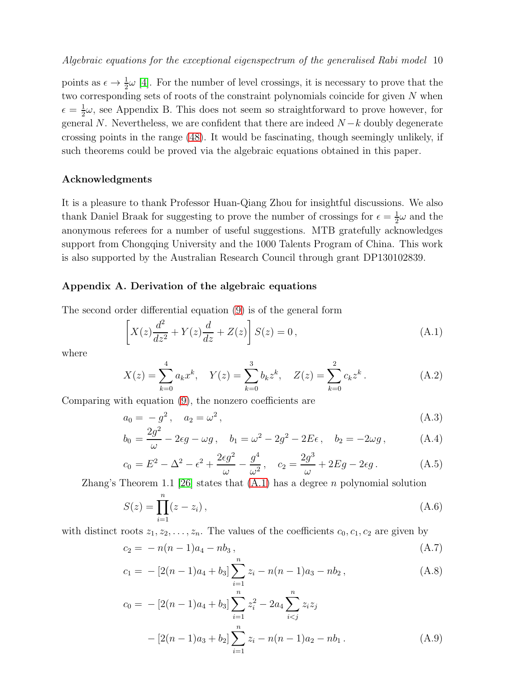points as  $\epsilon \to \frac{1}{2}\omega$  [\[4\]](#page-12-3). For the number of level crossings, it is necessary to prove that the two corresponding sets of roots of the constraint polynomials coincide for given N when  $\epsilon = \frac{1}{2}$  $\frac{1}{2}\omega$ , see Appendix B. This does not seem so straightforward to prove however, for general N. Nevertheless, we are confident that there are indeed  $N-k$  doubly degenerate crossing points in the range [\(48\)](#page-8-1). It would be fascinating, though seemingly unlikely, if such theorems could be proved via the algebraic equations obtained in this paper.

## Acknowledgments

It is a pleasure to thank Professor Huan-Qiang Zhou for insightful discussions. We also thank Daniel Braak for suggesting to prove the number of crossings for  $\epsilon = \frac{1}{2}$  $\frac{1}{2}\omega$  and the anonymous referees for a number of useful suggestions. MTB gratefully acknowledges support from Chongqing University and the 1000 Talents Program of China. This work is also supported by the Australian Research Council through grant DP130102839.

## Appendix A. Derivation of the algebraic equations

The second order differential equation [\(9\)](#page-2-5) is of the general form

<span id="page-9-0"></span>
$$
\[X(z)\frac{d^2}{dz^2} + Y(z)\frac{d}{dz} + Z(z)\]S(z) = 0\,,\tag{A.1}
$$

where

$$
X(z) = \sum_{k=0}^{4} a_k x^k, \quad Y(z) = \sum_{k=0}^{3} b_k z^k, \quad Z(z) = \sum_{k=0}^{2} c_k z^k.
$$
 (A.2)

Comparing with equation [\(9\)](#page-2-5), the nonzero coefficients are

<span id="page-9-1"></span>
$$
a_0 = -g^2, \quad a_2 = \omega^2,
$$
\n
$$
(A.3)
$$

$$
b_0 = \frac{2g^2}{\omega} - 2\epsilon g - \omega g \,, \quad b_1 = \omega^2 - 2g^2 - 2E\epsilon \,, \quad b_2 = -2\omega g \,, \tag{A.4}
$$

$$
c_0 = E^2 - \Delta^2 - \epsilon^2 + \frac{2\epsilon g^2}{\omega} - \frac{g^4}{\omega^2}, \quad c_2 = \frac{2g^3}{\omega} + 2Eg - 2\epsilon g. \tag{A.5}
$$

Zhang's Theorem 1.1 [\[26\]](#page-13-3) states that  $(A.1)$  has a degree n polynomial solution

$$
S(z) = \prod_{i=1}^{n} (z - z_i),
$$
\n(A.6)

with distinct roots  $z_1, z_2, \ldots, z_n$ . The values of the coefficients  $c_0, c_1, c_2$  are given by

<span id="page-9-2"></span>
$$
c_2 = -n(n-1)a_4 - nb_3 , \t\t (A.7)
$$

$$
c_1 = -[2(n-1)a_4 + b_3] \sum_{i=1}^{n} z_i - n(n-1)a_3 - nb_2, \qquad (A.8)
$$

$$
c_0 = -[2(n-1)a_4 + b_3] \sum_{i=1}^{n} z_i^2 - 2a_4 \sum_{i < j}^{n} z_i z_j
$$

$$
- [2(n-1)a_3 + b_2] \sum_{i=1}^{n} z_i - n(n-1)a_2 - nb_1. \tag{A.9}
$$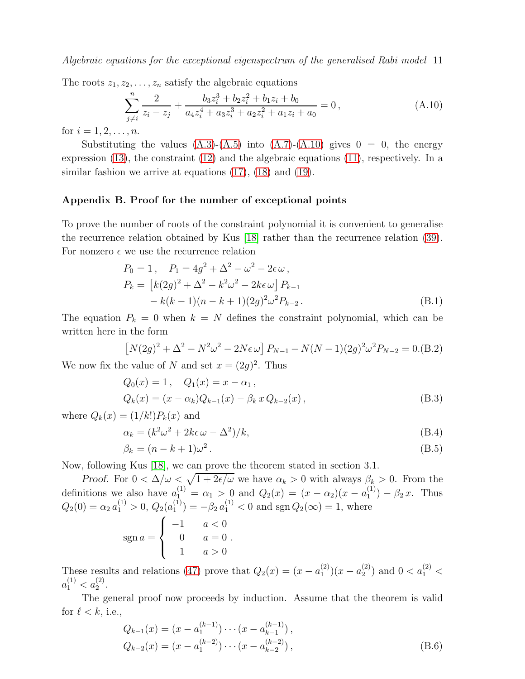The roots  $z_1, z_2, \ldots, z_n$  satisfy the algebraic equations

<span id="page-10-0"></span>
$$
\sum_{j\neq i}^{n} \frac{2}{z_i - z_j} + \frac{b_3 z_i^3 + b_2 z_i^2 + b_1 z_i + b_0}{a_4 z_i^4 + a_3 z_i^3 + a_2 z_i^2 + a_1 z_i + a_0} = 0,
$$
\n(A.10)

for  $i = 1, 2, ..., n$ .

Substituting the values  $(A.3)-(A.5)$  $(A.3)-(A.5)$  into  $(A.7)-(A.10)$  $(A.7)-(A.10)$  gives  $0 = 0$ , the energy expression [\(13\)](#page-2-3), the constraint [\(12\)](#page-2-4) and the algebraic equations [\(11\)](#page-2-2), respectively. In a similar fashion we arrive at equations  $(17)$ ,  $(18)$  and  $(19)$ .

# Appendix B. Proof for the number of exceptional points

To prove the number of roots of the constraint polynomial it is convenient to generalise the recurrence relation obtained by Kus [\[18\]](#page-12-18) rather than the recurrence relation [\(39\)](#page-5-0). For nonzero  $\epsilon$  we use the recurrence relation

$$
P_0 = 1, \quad P_1 = 4g^2 + \Delta^2 - \omega^2 - 2\epsilon \omega,
$$
  
\n
$$
P_k = [k(2g)^2 + \Delta^2 - k^2\omega^2 - 2k\epsilon \omega] P_{k-1}
$$
  
\n
$$
- k(k-1)(n-k+1)(2g)^2 \omega^2 P_{k-2}.
$$
\n(B.1)

The equation  $P_k = 0$  when  $k = N$  defines the constraint polynomial, which can be written here in the form

$$
[N(2g)^{2} + \Delta^{2} - N^{2}\omega^{2} - 2N\epsilon\omega] P_{N-1} - N(N-1)(2g)^{2}\omega^{2}P_{N-2} = 0.(B.2)
$$

We now fix the value of N and set  $x = (2g)^2$ . Thus

<span id="page-10-1"></span>
$$
Q_0(x) = 1, \quad Q_1(x) = x - \alpha_1,
$$
  
\n
$$
Q_k(x) = (x - \alpha_k)Q_{k-1}(x) - \beta_k x Q_{k-2}(x),
$$
\n(B.3)

where  $Q_k(x) = (1/k!) P_k(x)$  and

<span id="page-10-2"></span>
$$
\alpha_k = (k^2 \omega^2 + 2k\epsilon \omega - \Delta^2)/k,\tag{B.4}
$$

$$
\beta_k = (n - k + 1)\omega^2. \tag{B.5}
$$

Now, following Kus [\[18\]](#page-12-18), we can prove the theorem stated in section 3.1.

Proof. For  $0 < \Delta/\omega < \sqrt{1+2\epsilon/\omega}$  we have  $\alpha_k > 0$  with always  $\beta_k > 0$ . From the definitions we also have  $a_1^{(1)} = \alpha_1 > 0$  and  $Q_2(x) = (x - \alpha_2)(x - a_1^{(1)})$  $j_1^{(1)}$  –  $\beta_2 x$ . Thus  $Q_2(0) = \alpha_2 a_1^{(1)} > 0, Q_2(a_1^{(1)})$  $\binom{1}{1} = -\beta_2 a_1^{(1)} < 0$  and sgn  $Q_2(\infty) = 1$ , where

$$
sgn a = \begin{cases} -1 & a < 0 \\ 0 & a = 0 \\ 1 & a > 0 \end{cases}
$$

These results and relations [\(47\)](#page-8-2) prove that  $Q_2(x) = (x - a_1^{(2)})$  $\binom{2}{1}(x-a_2^{(2)})$  $\binom{2}{2}$  and  $0 < a_1^{(2)} <$  $a_1^{(1)} < a_2^{(2)}$ .

The general proof now proceeds by induction. Assume that the theorem is valid for  $\ell < k$ , i.e.,

$$
Q_{k-1}(x) = (x - a_1^{(k-1)}) \cdots (x - a_{k-1}^{(k-1)}),
$$
  
\n
$$
Q_{k-2}(x) = (x - a_1^{(k-2)}) \cdots (x - a_{k-2}^{(k-2)}),
$$
\n(B.6)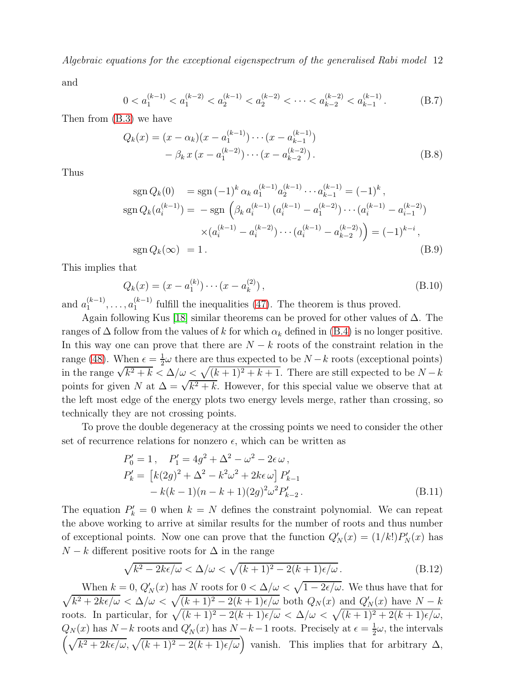and

$$
0 < a_1^{(k-1)} < a_1^{(k-2)} < a_2^{(k-1)} < a_2^{(k-2)} < \dots < a_{k-2}^{(k-2)} < a_{k-1}^{(k-1)} \,. \tag{B.7}
$$

Then from [\(B.3\)](#page-10-1) we have

$$
Q_k(x) = (x - \alpha_k)(x - a_1^{(k-1)}) \cdots (x - a_{k-1}^{(k-1)})
$$
  
-  $\beta_k x (x - a_1^{(k-2)}) \cdots (x - a_{k-2}^{(k-2)})$ . (B.8)

Thus

$$
\operatorname{sgn} Q_k(0) = \operatorname{sgn} (-1)^k \alpha_k a_1^{(k-1)} a_2^{(k-1)} \cdots a_{k-1}^{(k-1)} = (-1)^k ,
$$
  
\n
$$
\operatorname{sgn} Q_k(a_i^{(k-1)}) = -\operatorname{sgn} \left( \beta_k a_i^{(k-1)} (a_i^{(k-1)} - a_1^{(k-2)}) \cdots (a_i^{(k-1)} - a_{i-1}^{(k-2)}) \right)
$$
  
\n
$$
\times (a_i^{(k-1)} - a_i^{(k-2)}) \cdots (a_i^{(k-1)} - a_{k-2}^{(k-2)}) = (-1)^{k-i} ,
$$
  
\n
$$
\operatorname{sgn} Q_k(\infty) = 1.
$$
\n(B.9)

This implies that

$$
Q_k(x) = (x - a_1^{(k)}) \cdots (x - a_k^{(2)}),
$$
\n(B.10)

and  $a_1^{(k-1)}$  $a_1^{(k-1)}, \ldots, a_1^{(k-1)}$  $\binom{k-1}{1}$  fulfill the inequalities [\(47\)](#page-8-2). The theorem is thus proved.

Again following Kus [\[18\]](#page-12-18) similar theorems can be proved for other values of  $\Delta$ . The ranges of  $\Delta$  follow from the values of k for which  $\alpha_k$  defined in [\(B.4\)](#page-10-2) is no longer positive. In this way one can prove that there are  $N - k$  roots of the constraint relation in the range [\(48\)](#page-8-1). When  $\epsilon = \frac{1}{2}$  $\frac{1}{2}\omega$  there are thus expected to be  $N-k$  roots (exceptional points) in the range  $\sqrt{k^2 + k} < \Delta/\omega < \sqrt{(k+1)^2 + k + 1}$ . There are still expected to be  $N - k$ points for given N at  $\Delta = \sqrt{k^2 + k}$ . However, for this special value we observe that at the left most edge of the energy plots two energy levels merge, rather than crossing, so technically they are not crossing points.

To prove the double degeneracy at the crossing points we need to consider the other set of recurrence relations for nonzero  $\epsilon$ , which can be written as

$$
P'_0 = 1, \quad P'_1 = 4g^2 + \Delta^2 - \omega^2 - 2\epsilon \omega ,
$$
  
\n
$$
P'_k = [k(2g)^2 + \Delta^2 - k^2\omega^2 + 2k\epsilon \omega] P'_{k-1}
$$
  
\n
$$
- k(k-1)(n-k+1)(2g)^2 \omega^2 P'_{k-2}.
$$
\n(B.11)

The equation  $P'_k = 0$  when  $k = N$  defines the constraint polynomial. We can repeat the above working to arrive at similar results for the number of roots and thus number of exceptional points. Now one can prove that the function  $Q'_N(x) = (1/k!) P'_N(x)$  has  $N - k$  different positive roots for  $\Delta$  in the range

$$
\sqrt{k^2 - 2k\epsilon/\omega} < \Delta/\omega < \sqrt{(k+1)^2 - 2(k+1)\epsilon/\omega} \tag{B.12}
$$

When  $k = 0$ ,  $Q'_{N}(x)$  has N roots for  $0 < \Delta/\omega < \sqrt{\frac{M}{\epsilon}}$  $\sqrt{}$  $1 - 2\epsilon/\omega$ . We thus have that for  $k^2 + 2k\epsilon/\omega < \Delta/\omega < \sqrt{(k+1)^2 - 2(k+1)\epsilon/\omega}$  both  $Q_N(x)$  and  $Q'_N(x)$  have  $N - k$ roots. In particular, for  $\sqrt{(k+1)^2 - 2(k+1)\epsilon/\omega} < \Delta/\omega < \sqrt{(k+1)^2 + 2(k+1)\epsilon/\omega}$ ,  $Q_N(x)$  has  $N-k$  roots and  $Q'_N(x)$  has  $N-k-1$  roots. Precisely at  $\epsilon = \frac{1}{2}$  $\frac{1}{2}\omega$ , the intervals  $\left(\sqrt{k^2+2k\epsilon/\omega},\sqrt{(k+1)^2-2(k+1)\epsilon/\omega}\right)$  vanish. This implies that for arbitrary  $\Delta$ ,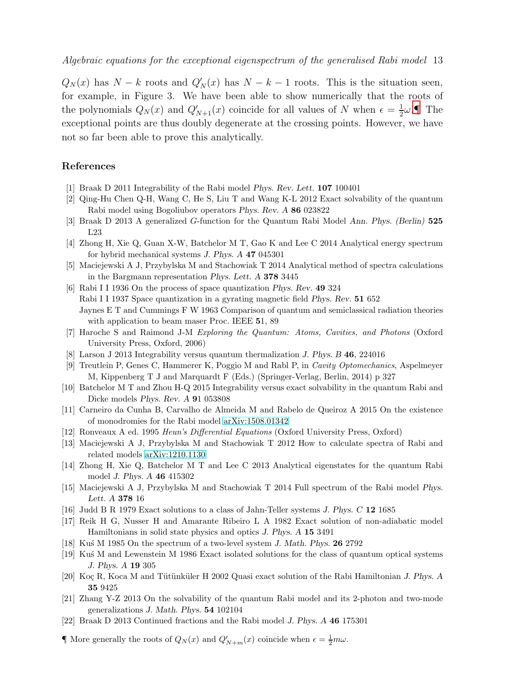$Q_N(x)$  has  $N - k$  roots and  $Q'_N(x)$  has  $N - k - 1$  roots. This is the situation seen, for example, in Figure 3. We have been able to show numerically that the roots of the polynomials  $Q_N(x)$  and  $Q'_{N+1}(x)$  coincide for all values of N when  $\epsilon = \frac{1}{2}$  $\frac{1}{2}\omega$ . The exceptional points are thus doubly degenerate at the crossing points. However, we have not so far been able to prove this analytically.

# <span id="page-12-0"></span>References

- <span id="page-12-1"></span>[1] Braak D 2011 Integrability of the Rabi model Phys. Rev. Lett. 107 100401
- <span id="page-12-2"></span>[2] Qing-Hu Chen Q-H, Wang C, He S, Liu T and Wang K-L 2012 Exact solvability of the quantum Rabi model using Bogoliubov operators Phys. Rev. A 86 023822
- <span id="page-12-3"></span>[3] Braak D 2013 A generalized G-function for the Quantum Rabi Model Ann. Phys. (Berlin) 525 L23
- <span id="page-12-4"></span>[4] Zhong H, Xie Q, Guan X-W, Batchelor M T, Gao K and Lee C 2014 Analytical energy spectrum for hybrid mechanical systems J. Phys. A 47 045301
- <span id="page-12-5"></span>[5] Maciejewski A J, Przybylska M and Stachowiak T 2014 Analytical method of spectra calculations in the Bargmann representation Phys. Lett. A 378 3445
- [6] Rabi I I 1936 On the process of space quantization Phys. Rev. 49 324 Rabi I I 1937 Space quantization in a gyrating magnetic field Phys. Rev. 51 652 Jaynes E T and Cummings F W 1963 Comparison of quantum and semiclassical radiation theories with application to beam maser Proc. IEEE 51, 89
- <span id="page-12-7"></span><span id="page-12-6"></span>[7] Haroche S and Raimond J-M Exploring the Quantum: Atoms, Cavities, and Photons (Oxford University Press, Oxford, 2006)
- <span id="page-12-8"></span>[8] Larson J 2013 Integrability versus quantum thermalization J. Phys. B 46, 224016
- <span id="page-12-9"></span>[9] Treutlein P, Genes C, Hammerer K, Poggio M and Rabl P, in Cavity Optomechanics, Aspelmeyer M, Kippenberg T J and Marquardt F (Eds.) (Springer-Verlag, Berlin, 2014) p 327
- <span id="page-12-10"></span>[10] Batchelor M T and Zhou H-Q 2015 Integrability versus exact solvability in the quantum Rabi and Dicke models Phys. Rev. A 91 053808
- <span id="page-12-11"></span>[11] Carneiro da Cunha B, Carvalho de Almeida M and Rabelo de Queiroz A 2015 On the existence of monodromies for the Rabi model [arXiv:1508.01342](http://arxiv.org/abs/1508.01342)
- <span id="page-12-14"></span>[12] Ronveaux A ed. 1995 Heun's Differential Equations (Oxford University Press, Oxford)
- <span id="page-12-15"></span>[13] Maciejewski A J, Przybylska M and Stachowiak T 2012 How to calculate spectra of Rabi and related models [arXiv:1210.1130](http://arxiv.org/abs/1210.1130)
- <span id="page-12-16"></span>[14] Zhong H, Xie Q, Batchelor M T and Lee C 2013 Analytical eigenstates for the quantum Rabi model J. Phys. A 46 415302
- <span id="page-12-12"></span>[15] Maciejewski A J, Przybylska M and Stachowiak T 2014 Full spectrum of the Rabi model Phys. Lett. A 378 16
- <span id="page-12-17"></span>[16] Judd B R 1979 Exact solutions to a class of Jahn-Teller systems J. Phys. C 12 1685
- [17] Reik H G, Nusser H and Amarante Ribeiro L A 1982 Exact solution of non-adiabatic model Hamiltonians in solid state physics and optics J. Phys. A 15 3491
- <span id="page-12-19"></span><span id="page-12-18"></span>[18] Ku´s M 1985 On the spectrum of a two-level system J. Math. Phys. 26 2792
- <span id="page-12-20"></span>[19] Ku´s M and Lewenstein M 1986 Exact isolated solutions for the class of quantum optical systems J. Phys. A 19 305
- <span id="page-12-13"></span>[20] Koç R, Koca M and Tütünküler H 2002 Quasi exact solution of the Rabi Hamiltonian J. Phys. A 35 9425
- [21] Zhang Y-Z 2013 On the solvability of the quantum Rabi model and its 2-photon and two-mode generalizations J. Math. Phys. 54 102104
- <span id="page-12-21"></span>[22] Braak D 2013 Continued fractions and the Rabi model J. Phys. A 46 175301

<span id="page-12-22"></span> $\blacksquare$  More generally the roots of  $Q_N(x)$  and  $Q'_{N+m}(x)$  coincide when  $\epsilon = \frac{1}{2}m\omega$ .